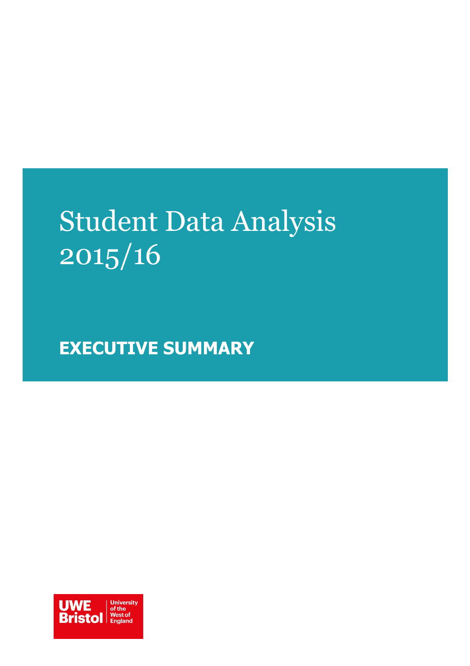# Student Data Analysis 2015/16

**EXECUTIVE SUMMARY**

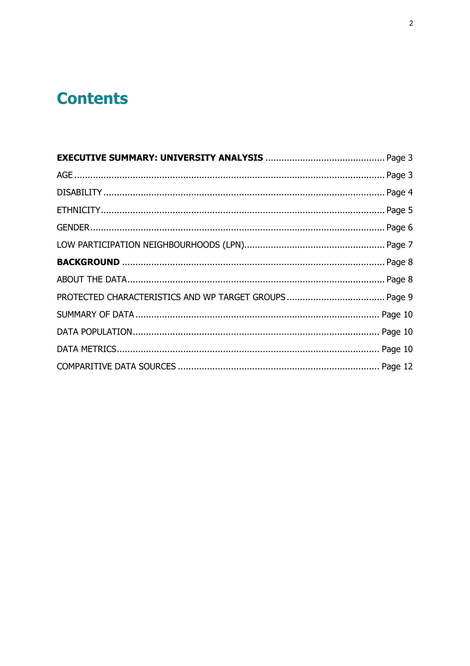# **Contents**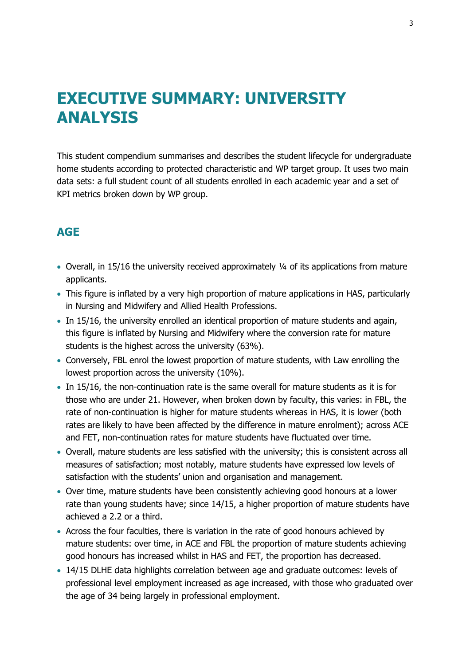# <span id="page-2-0"></span>**EXECUTIVE SUMMARY: UNIVERSITY ANALYSIS**

This student compendium summarises and describes the student lifecycle for undergraduate home students according to protected characteristic and WP target group. It uses two main data sets: a full student count of all students enrolled in each academic year and a set of KPI metrics broken down by WP group.

### <span id="page-2-1"></span>**AGE**

- Overall, in 15/16 the university received approximately ¼ of its applications from mature applicants.
- This figure is inflated by a very high proportion of mature applications in HAS, particularly in Nursing and Midwifery and Allied Health Professions.
- In 15/16, the university enrolled an identical proportion of mature students and again, this figure is inflated by Nursing and Midwifery where the conversion rate for mature students is the highest across the university (63%).
- Conversely, FBL enrol the lowest proportion of mature students, with Law enrolling the lowest proportion across the university (10%).
- In 15/16, the non-continuation rate is the same overall for mature students as it is for those who are under 21. However, when broken down by faculty, this varies: in FBL, the rate of non-continuation is higher for mature students whereas in HAS, it is lower (both rates are likely to have been affected by the difference in mature enrolment); across ACE and FET, non-continuation rates for mature students have fluctuated over time.
- Overall, mature students are less satisfied with the university; this is consistent across all measures of satisfaction; most notably, mature students have expressed low levels of satisfaction with the students' union and organisation and management.
- Over time, mature students have been consistently achieving good honours at a lower rate than young students have; since 14/15, a higher proportion of mature students have achieved a 2.2 or a third.
- Across the four faculties, there is variation in the rate of good honours achieved by mature students: over time, in ACE and FBL the proportion of mature students achieving good honours has increased whilst in HAS and FET, the proportion has decreased.
- 14/15 DLHE data highlights correlation between age and graduate outcomes: levels of professional level employment increased as age increased, with those who graduated over the age of 34 being largely in professional employment.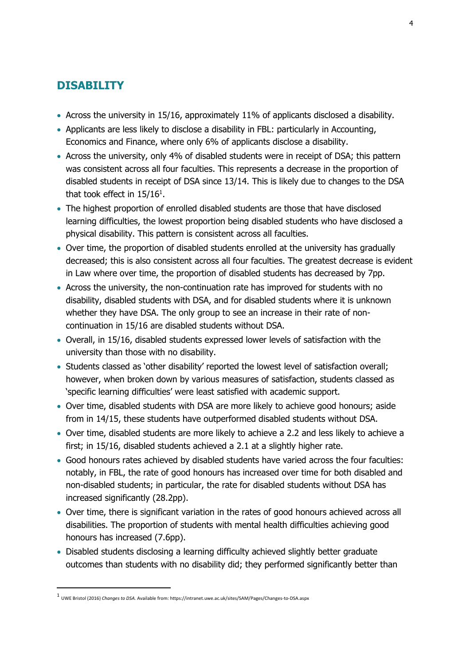### <span id="page-3-0"></span>**DISABILITY**

- Across the university in 15/16, approximately 11% of applicants disclosed a disability.
- Applicants are less likely to disclose a disability in FBL: particularly in Accounting, Economics and Finance, where only 6% of applicants disclose a disability.
- Across the university, only 4% of disabled students were in receipt of DSA; this pattern was consistent across all four faculties. This represents a decrease in the proportion of disabled students in receipt of DSA since 13/14. This is likely due to changes to the DSA that took effect in  $15/16^{\rm 1}.$
- The highest proportion of enrolled disabled students are those that have disclosed learning difficulties, the lowest proportion being disabled students who have disclosed a physical disability. This pattern is consistent across all faculties.
- Over time, the proportion of disabled students enrolled at the university has gradually decreased; this is also consistent across all four faculties. The greatest decrease is evident in Law where over time, the proportion of disabled students has decreased by 7pp.
- Across the university, the non-continuation rate has improved for students with no disability, disabled students with DSA, and for disabled students where it is unknown whether they have DSA. The only group to see an increase in their rate of noncontinuation in 15/16 are disabled students without DSA.
- Overall, in 15/16, disabled students expressed lower levels of satisfaction with the university than those with no disability.
- Students classed as 'other disability' reported the lowest level of satisfaction overall; however, when broken down by various measures of satisfaction, students classed as 'specific learning difficulties' were least satisfied with academic support.
- Over time, disabled students with DSA are more likely to achieve good honours; aside from in 14/15, these students have outperformed disabled students without DSA.
- Over time, disabled students are more likely to achieve a 2.2 and less likely to achieve a first; in 15/16, disabled students achieved a 2.1 at a slightly higher rate.
- Good honours rates achieved by disabled students have varied across the four faculties: notably, in FBL, the rate of good honours has increased over time for both disabled and non-disabled students; in particular, the rate for disabled students without DSA has increased significantly (28.2pp).
- Over time, there is significant variation in the rates of good honours achieved across all disabilities. The proportion of students with mental health difficulties achieving good honours has increased (7.6pp).
- Disabled students disclosing a learning difficulty achieved slightly better graduate outcomes than students with no disability did; they performed significantly better than

j

<sup>1</sup> UWE Bristol (2016) *Changes to DSA.* Available from: https://intranet.uwe.ac.uk/sites/SAM/Pages/Changes-to-DSA.aspx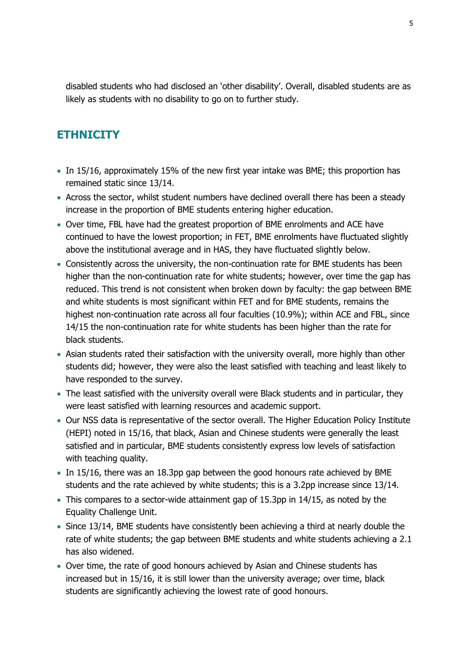disabled students who had disclosed an 'other disability'. Overall, disabled students are as likely as students with no disability to go on to further study.

### <span id="page-4-0"></span>**ETHNICITY**

- In 15/16, approximately 15% of the new first year intake was BME; this proportion has remained static since 13/14.
- Across the sector, whilst student numbers have declined overall there has been a steady increase in the proportion of BME students entering higher education.
- Over time, FBL have had the greatest proportion of BME enrolments and ACE have continued to have the lowest proportion; in FET, BME enrolments have fluctuated slightly above the institutional average and in HAS, they have fluctuated slightly below.
- Consistently across the university, the non-continuation rate for BME students has been higher than the non-continuation rate for white students; however, over time the gap has reduced. This trend is not consistent when broken down by faculty: the gap between BME and white students is most significant within FET and for BME students, remains the highest non-continuation rate across all four faculties (10.9%); within ACE and FBL, since 14/15 the non-continuation rate for white students has been higher than the rate for black students.
- Asian students rated their satisfaction with the university overall, more highly than other students did; however, they were also the least satisfied with teaching and least likely to have responded to the survey.
- The least satisfied with the university overall were Black students and in particular, they were least satisfied with learning resources and academic support.
- Our NSS data is representative of the sector overall. The Higher Education Policy Institute (HEPI) noted in 15/16, that black, Asian and Chinese students were generally the least satisfied and in particular, BME students consistently express low levels of satisfaction with teaching quality.
- In 15/16, there was an 18.3pp gap between the good honours rate achieved by BME students and the rate achieved by white students; this is a 3.2pp increase since 13/14.
- This compares to a sector-wide attainment gap of 15.3pp in 14/15, as noted by the Equality Challenge Unit.
- Since 13/14, BME students have consistently been achieving a third at nearly double the rate of white students; the gap between BME students and white students achieving a 2.1 has also widened.
- Over time, the rate of good honours achieved by Asian and Chinese students has increased but in 15/16, it is still lower than the university average; over time, black students are significantly achieving the lowest rate of good honours.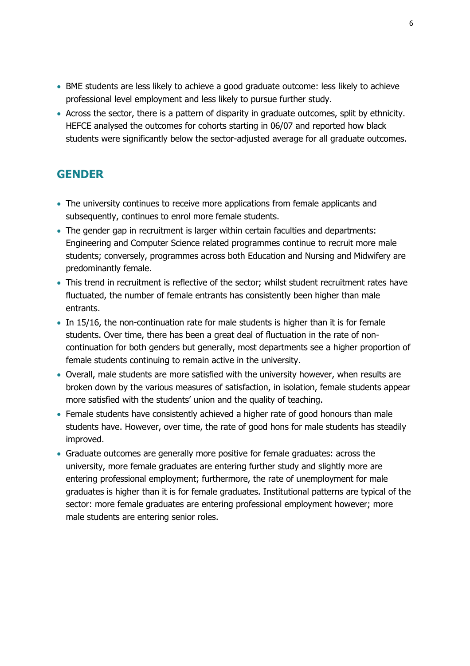- BME students are less likely to achieve a good graduate outcome: less likely to achieve professional level employment and less likely to pursue further study.
- Across the sector, there is a pattern of disparity in graduate outcomes, split by ethnicity. HEFCE analysed the outcomes for cohorts starting in 06/07 and reported how black students were significantly below the sector-adjusted average for all graduate outcomes.

## <span id="page-5-0"></span>**GENDER**

- The university continues to receive more applications from female applicants and subsequently, continues to enrol more female students.
- The gender gap in recruitment is larger within certain faculties and departments: Engineering and Computer Science related programmes continue to recruit more male students; conversely, programmes across both Education and Nursing and Midwifery are predominantly female.
- This trend in recruitment is reflective of the sector; whilst student recruitment rates have fluctuated, the number of female entrants has consistently been higher than male entrants.
- In 15/16, the non-continuation rate for male students is higher than it is for female students. Over time, there has been a great deal of fluctuation in the rate of noncontinuation for both genders but generally, most departments see a higher proportion of female students continuing to remain active in the university.
- Overall, male students are more satisfied with the university however, when results are broken down by the various measures of satisfaction, in isolation, female students appear more satisfied with the students' union and the quality of teaching.
- Female students have consistently achieved a higher rate of good honours than male students have. However, over time, the rate of good hons for male students has steadily improved.
- Graduate outcomes are generally more positive for female graduates: across the university, more female graduates are entering further study and slightly more are entering professional employment; furthermore, the rate of unemployment for male graduates is higher than it is for female graduates. Institutional patterns are typical of the sector: more female graduates are entering professional employment however; more male students are entering senior roles.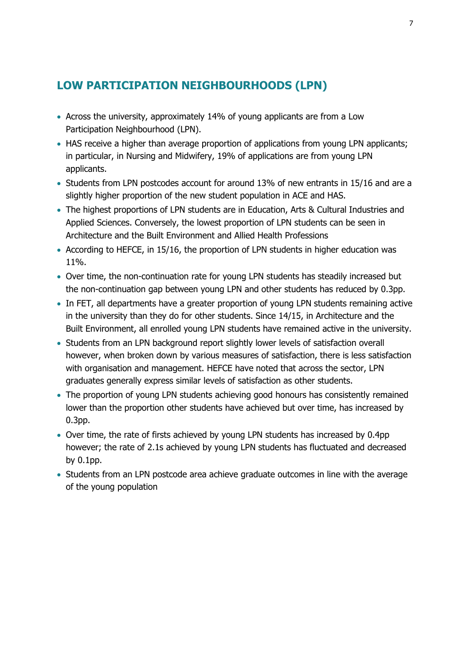# <span id="page-6-0"></span>**LOW PARTICIPATION NEIGHBOURHOODS (LPN)**

- Across the university, approximately 14% of young applicants are from a Low Participation Neighbourhood (LPN).
- HAS receive a higher than average proportion of applications from young LPN applicants; in particular, in Nursing and Midwifery, 19% of applications are from young LPN applicants.
- Students from LPN postcodes account for around 13% of new entrants in 15/16 and are a slightly higher proportion of the new student population in ACE and HAS.
- The highest proportions of LPN students are in Education, Arts & Cultural Industries and Applied Sciences. Conversely, the lowest proportion of LPN students can be seen in Architecture and the Built Environment and Allied Health Professions
- According to HEFCE, in 15/16, the proportion of LPN students in higher education was 11%.
- Over time, the non-continuation rate for young LPN students has steadily increased but the non-continuation gap between young LPN and other students has reduced by 0.3pp.
- In FET, all departments have a greater proportion of young LPN students remaining active in the university than they do for other students. Since 14/15, in Architecture and the Built Environment, all enrolled young LPN students have remained active in the university.
- Students from an LPN background report slightly lower levels of satisfaction overall however, when broken down by various measures of satisfaction, there is less satisfaction with organisation and management. HEFCE have noted that across the sector, LPN graduates generally express similar levels of satisfaction as other students.
- The proportion of young LPN students achieving good honours has consistently remained lower than the proportion other students have achieved but over time, has increased by 0.3pp.
- Over time, the rate of firsts achieved by young LPN students has increased by 0.4pp however; the rate of 2.1s achieved by young LPN students has fluctuated and decreased by 0.1pp.
- Students from an LPN postcode area achieve graduate outcomes in line with the average of the young population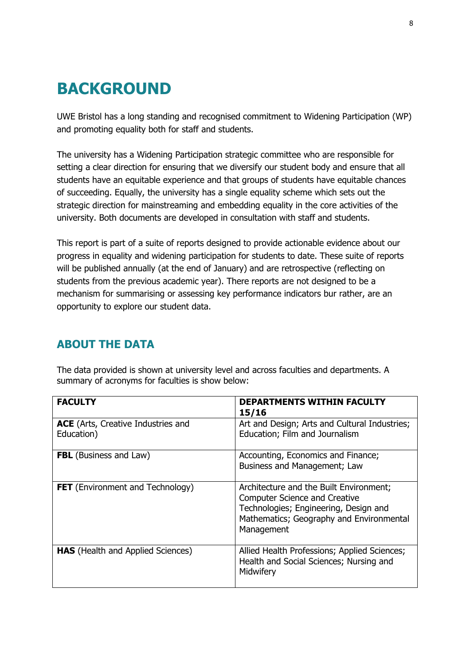# <span id="page-7-0"></span>**BACKGROUND**

UWE Bristol has a long standing and recognised commitment to Widening Participation (WP) and promoting equality both for staff and students.

The university has a Widening Participation strategic committee who are responsible for setting a clear direction for ensuring that we diversify our student body and ensure that all students have an equitable experience and that groups of students have equitable chances of succeeding. Equally, the university has a single equality scheme which sets out the strategic direction for mainstreaming and embedding equality in the core activities of the university. Both documents are developed in consultation with staff and students.

This report is part of a suite of reports designed to provide actionable evidence about our progress in equality and widening participation for students to date. These suite of reports will be published annually (at the end of January) and are retrospective (reflecting on students from the previous academic year). There reports are not designed to be a mechanism for summarising or assessing key performance indicators bur rather, are an opportunity to explore our student data.

# <span id="page-7-1"></span>**ABOUT THE DATA**

| <b>FACULTY</b>                                          | <b>DEPARTMENTS WITHIN FACULTY</b><br>15/16                                                                                                                                         |  |
|---------------------------------------------------------|------------------------------------------------------------------------------------------------------------------------------------------------------------------------------------|--|
| <b>ACE</b> (Arts, Creative Industries and<br>Education) | Art and Design; Arts and Cultural Industries;<br>Education; Film and Journalism                                                                                                    |  |
| <b>FBL</b> (Business and Law)                           | Accounting, Economics and Finance;<br>Business and Management; Law                                                                                                                 |  |
| <b>FET</b> (Environment and Technology)                 | Architecture and the Built Environment;<br><b>Computer Science and Creative</b><br>Technologies; Engineering, Design and<br>Mathematics; Geography and Environmental<br>Management |  |
| <b>HAS</b> (Health and Applied Sciences)                | Allied Health Professions; Applied Sciences;<br>Health and Social Sciences; Nursing and<br>Midwifery                                                                               |  |

The data provided is shown at university level and across faculties and departments. A summary of acronyms for faculties is show below: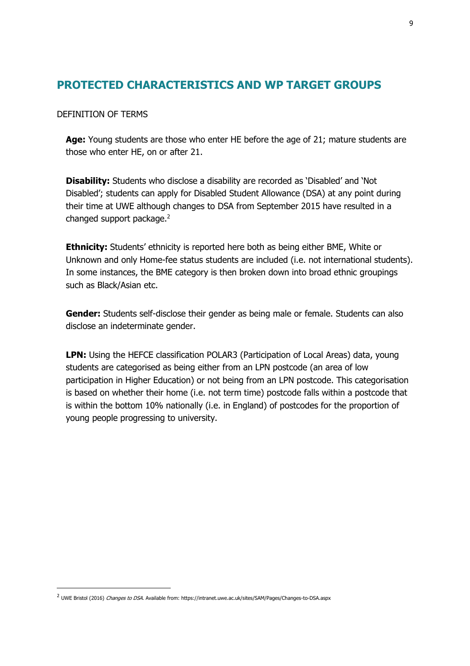## <span id="page-8-0"></span>**PROTECTED CHARACTERISTICS AND WP TARGET GROUPS**

DEFINITION OF TERMS

**Age:** Young students are those who enter HE before the age of 21; mature students are those who enter HE, on or after 21.

**Disability:** Students who disclose a disability are recorded as 'Disabled' and 'Not Disabled'; students can apply for Disabled Student Allowance (DSA) at any point during their time at UWE although changes to DSA from September 2015 have resulted in a changed support package.<sup>2</sup>

**Ethnicity:** Students' ethnicity is reported here both as being either BME, White or Unknown and only Home-fee status students are included (i.e. not international students). In some instances, the BME category is then broken down into broad ethnic groupings such as Black/Asian etc.

**Gender:** Students self-disclose their gender as being male or female. Students can also disclose an indeterminate gender.

LPN: Using the HEFCE classification POLAR3 (Participation of Local Areas) data, young students are categorised as being either from an LPN postcode (an area of low participation in Higher Education) or not being from an LPN postcode. This categorisation is based on whether their home (i.e. not term time) postcode falls within a postcode that is within the bottom 10% nationally (i.e. in England) of postcodes for the proportion of young people progressing to university.

-

<sup>&</sup>lt;sup>2</sup> UWE Bristol (2016) *Changes to DSA*. Available from: https://intranet.uwe.ac.uk/sites/SAM/Pages/Changes-to-DSA.aspx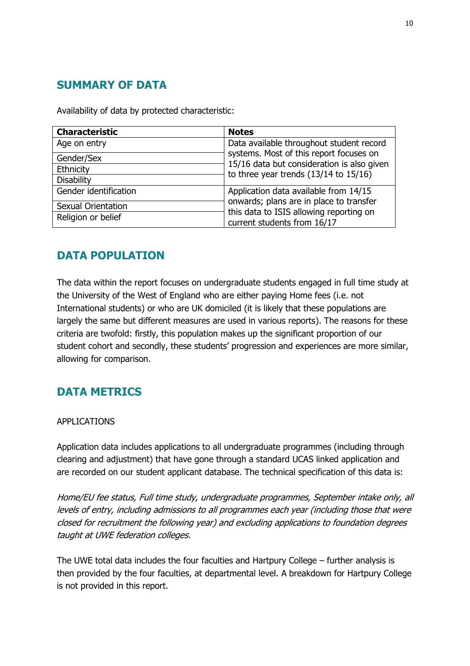# <span id="page-9-0"></span>**SUMMARY OF DATA**

Availability of data by protected characteristic:

| <b>Characteristic</b>     | <b>Notes</b>                                                                                                                                               |
|---------------------------|------------------------------------------------------------------------------------------------------------------------------------------------------------|
| Age on entry              | Data available throughout student record                                                                                                                   |
| Gender/Sex                | systems. Most of this report focuses on<br>15/16 data but consideration is also given<br>to three year trends $(13/14$ to $15/16)$                         |
| Ethnicity                 |                                                                                                                                                            |
| <b>Disability</b>         |                                                                                                                                                            |
| Gender identification     | Application data available from 14/15<br>onwards; plans are in place to transfer<br>this data to ISIS allowing reporting on<br>current students from 16/17 |
| <b>Sexual Orientation</b> |                                                                                                                                                            |
| Religion or belief        |                                                                                                                                                            |

# <span id="page-9-1"></span>**DATA POPULATION**

The data within the report focuses on undergraduate students engaged in full time study at the University of the West of England who are either paying Home fees (i.e. not International students) or who are UK domiciled (it is likely that these populations are largely the same but different measures are used in various reports). The reasons for these criteria are twofold: firstly, this population makes up the significant proportion of our student cohort and secondly, these students' progression and experiences are more similar, allowing for comparison.

# <span id="page-9-2"></span>**DATA METRICS**

#### APPLICATIONS

Application data includes applications to all undergraduate programmes (including through clearing and adjustment) that have gone through a standard UCAS linked application and are recorded on our student applicant database. The technical specification of this data is:

Home/EU fee status, Full time study, undergraduate programmes, September intake only, all levels of entry, including admissions to all programmes each year (including those that were closed for recruitment the following year) and excluding applications to foundation degrees taught at UWE federation colleges.

The UWE total data includes the four faculties and Hartpury College – further analysis is then provided by the four faculties, at departmental level. A breakdown for Hartpury College is not provided in this report.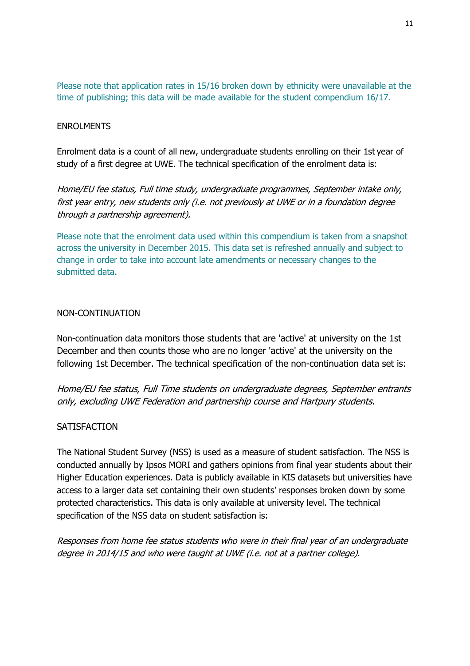Please note that application rates in 15/16 broken down by ethnicity were unavailable at the time of publishing; this data will be made available for the student compendium 16/17.

#### ENROLMENTS

Enrolment data is a count of all new, undergraduate students enrolling on their 1st year of study of a first degree at UWE. The technical specification of the enrolment data is:

Home/EU fee status, Full time study, undergraduate programmes, September intake only, first year entry, new students only (i.e. not previously at UWE or in a foundation degree through a partnership agreement).

Please note that the enrolment data used within this compendium is taken from a snapshot across the university in December 2015. This data set is refreshed annually and subject to change in order to take into account late amendments or necessary changes to the submitted data.

#### NON-CONTINUATION

Non-continuation data monitors those students that are 'active' at university on the 1st December and then counts those who are no longer 'active' at the university on the following 1st December. The technical specification of the non-continuation data set is:

Home/EU fee status, Full Time students on undergraduate degrees, September entrants only, excluding UWE Federation and partnership course and Hartpury students.

#### **SATISFACTION**

The National Student Survey (NSS) is used as a measure of student satisfaction. The NSS is conducted annually by Ipsos MORI and gathers opinions from final year students about their Higher Education experiences. Data is publicly available in KIS datasets but universities have access to a larger data set containing their own students' responses broken down by some protected characteristics. This data is only available at university level. The technical specification of the NSS data on student satisfaction is:

Responses from home fee status students who were in their final year of an undergraduate degree in 2014/15 and who were taught at UWE (i.e. not at a partner college).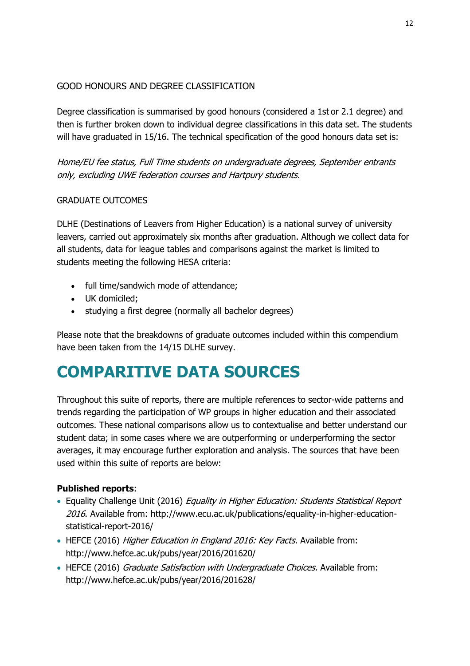#### GOOD HONOURS AND DEGREE CLASSIFICATION

Degree classification is summarised by good honours (considered a 1st or 2.1 degree) and then is further broken down to individual degree classifications in this data set. The students will have graduated in 15/16. The technical specification of the good honours data set is:

Home/EU fee status, Full Time students on undergraduate degrees, September entrants only, excluding UWE federation courses and Hartpury students.

#### GRADUATE OUTCOMES

DLHE (Destinations of Leavers from Higher Education) is a national survey of university leavers, carried out approximately six months after graduation. Although we collect data for all students, data for league tables and comparisons against the market is limited to students meeting the following HESA criteria:

- full time/sandwich mode of attendance;
- UK domiciled;
- studying a first degree (normally all bachelor degrees)

Please note that the breakdowns of graduate outcomes included within this compendium have been taken from the 14/15 DLHE survey.

# <span id="page-11-0"></span>**COMPARITIVE DATA SOURCES**

Throughout this suite of reports, there are multiple references to sector-wide patterns and trends regarding the participation of WP groups in higher education and their associated outcomes. These national comparisons allow us to contextualise and better understand our student data; in some cases where we are outperforming or underperforming the sector averages, it may encourage further exploration and analysis. The sources that have been used within this suite of reports are below:

#### **Published reports**:

- Equality Challenge Unit (2016) Equality in Higher Education: Students Statistical Report 2016. Available from: http://www.ecu.ac.uk/publications/equality-in-higher-educationstatistical-report-2016/
- HEFCE (2016) Higher Education in England 2016: Key Facts. Available from: http://www.hefce.ac.uk/pubs/year/2016/201620/
- HEFCE (2016) Graduate Satisfaction with Undergraduate Choices. Available from: http://www.hefce.ac.uk/pubs/year/2016/201628/